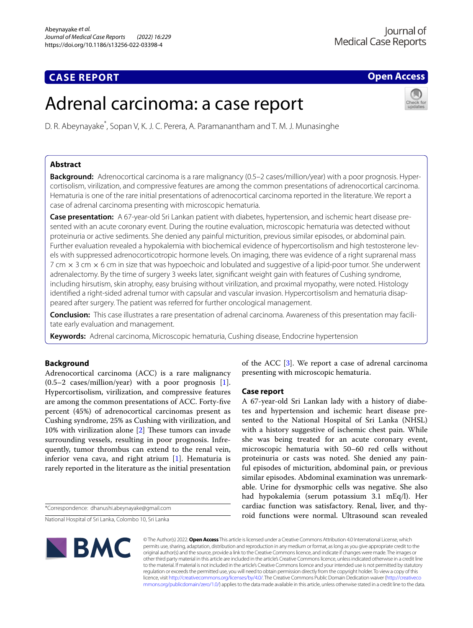# **CASE REPORT**

# **Open Access**

# Adrenal carcinoma: a case report

D. R. Abeynayake\* , Sopan V, K. J. C. Perera, A. Paramanantham and T. M. J. Munasinghe

# **Abstract**

**Background:** Adrenocortical carcinoma is a rare malignancy (0.5–2 cases/million/year) with a poor prognosis. Hypercortisolism, virilization, and compressive features are among the common presentations of adrenocortical carcinoma. Hematuria is one of the rare initial presentations of adrenocortical carcinoma reported in the literature. We report a case of adrenal carcinoma presenting with microscopic hematuria.

**Case presentation:** A 67-year-old Sri Lankan patient with diabetes, hypertension, and ischemic heart disease presented with an acute coronary event. During the routine evaluation, microscopic hematuria was detected without proteinuria or active sediments. She denied any painful micturition, previous similar episodes, or abdominal pain. Further evaluation revealed a hypokalemia with biochemical evidence of hypercortisolism and high testosterone levels with suppressed adrenocorticotropic hormone levels. On imaging, there was evidence of a right suprarenal mass 7 cm × 3 cm × 6 cm in size that was hypoechoic and lobulated and suggestive of a lipid-poor tumor. She underwent adrenalectomy. By the time of surgery 3 weeks later, signifcant weight gain with features of Cushing syndrome, including hirsutism, skin atrophy, easy bruising without virilization, and proximal myopathy, were noted. Histology identifed a right-sided adrenal tumor with capsular and vascular invasion. Hypercortisolism and hematuria disappeared after surgery. The patient was referred for further oncological management.

**Conclusion:** This case illustrates a rare presentation of adrenal carcinoma. Awareness of this presentation may facilitate early evaluation and management.

**Keywords:** Adrenal carcinoma, Microscopic hematuria, Cushing disease, Endocrine hypertension

# **Background**

Adrenocortical carcinoma (ACC) is a rare malignancy  $(0.5-2 \text{ cases/million/year})$  with a poor prognosis [\[1](#page-2-0)]. Hypercortisolism, virilization, and compressive features are among the common presentations of ACC. Forty-fve percent (45%) of adrenocortical carcinomas present as Cushing syndrome, 25% as Cushing with virilization, and 10% with virilization alone  $[2]$  $[2]$  These tumors can invade surrounding vessels, resulting in poor prognosis. Infrequently, tumor thrombus can extend to the renal vein, inferior vena cava, and right atrium [\[1](#page-2-0)]. Hematuria is rarely reported in the literature as the initial presentation

\*Correspondence: dhanushi.abeynayake@gmail.com

National Hospital of Sri Lanka, Colombo 10, Sri Lanka



of the ACC [\[3](#page-2-2)]. We report a case of adrenal carcinoma presenting with microscopic hematuria.

# **Case report**

A 67-year-old Sri Lankan lady with a history of diabetes and hypertension and ischemic heart disease presented to the National Hospital of Sri Lanka (NHSL) with a history suggestive of ischemic chest pain. While she was being treated for an acute coronary event, microscopic hematuria with 50–60 red cells without proteinuria or casts was noted. She denied any painful episodes of micturition, abdominal pain, or previous similar episodes. Abdominal examination was unremarkable. Urine for dysmorphic cells was negative. She also had hypokalemia (serum potassium 3.1 mEq/l). Her cardiac function was satisfactory. Renal, liver, and thyroid functions were normal. Ultrasound scan revealed

© The Author(s) 2022. **Open Access** This article is licensed under a Creative Commons Attribution 4.0 International License, which permits use, sharing, adaptation, distribution and reproduction in any medium or format, as long as you give appropriate credit to the original author(s) and the source, provide a link to the Creative Commons licence, and indicate if changes were made. The images or other third party material in this article are included in the article's Creative Commons licence, unless indicated otherwise in a credit line to the material. If material is not included in the article's Creative Commons licence and your intended use is not permitted by statutory regulation or exceeds the permitted use, you will need to obtain permission directly from the copyright holder. To view a copy of this licence, visit [http://creativecommons.org/licenses/by/4.0/.](http://creativecommons.org/licenses/by/4.0/) The Creative Commons Public Domain Dedication waiver ([http://creativeco](http://creativecommons.org/publicdomain/zero/1.0/) [mmons.org/publicdomain/zero/1.0/](http://creativecommons.org/publicdomain/zero/1.0/)) applies to the data made available in this article, unless otherwise stated in a credit line to the data.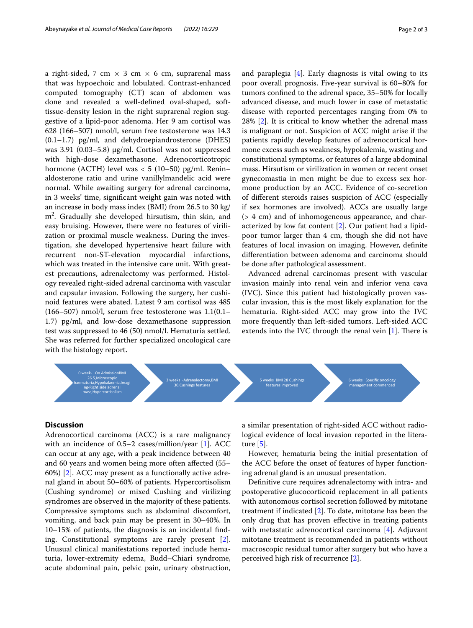a right-sided, 7 cm  $\times$  3 cm  $\times$  6 cm, suprarenal mass that was hypoechoic and lobulated. Contrast-enhanced computed tomography (CT) scan of abdomen was done and revealed a well-defned oval-shaped, softtissue-density lesion in the right suprarenal region suggestive of a lipid-poor adenoma. Her 9 am cortisol was 628 (166–507) nmol/l, serum free testosterone was 14.3 (0.1–1.7) pg/ml, and dehydroepiandrosterone (DHES) was 3.91 (0.03–5.8) μg/ml. Cortisol was not suppressed with high-dose dexamethasone. Adrenocorticotropic hormone (ACTH) level was  $< 5$  (10–50) pg/ml. Renin– aldosterone ratio and urine vanillylmandelic acid were normal. While awaiting surgery for adrenal carcinoma, in 3 weeks' time, signifcant weight gain was noted with an increase in body mass index (BMI) from 26.5 to 30 kg/ m2 . Gradually she developed hirsutism, thin skin, and easy bruising. However, there were no features of virilization or proximal muscle weakness. During the investigation, she developed hypertensive heart failure with recurrent non-ST-elevation myocardial infarctions, which was treated in the intensive care unit. With greatest precautions, adrenalectomy was performed. Histology revealed right-sided adrenal carcinoma with vascular and capsular invasion. Following the surgery, her cushinoid features were abated. Latest 9 am cortisol was 485 (166–507) nmol/l, serum free testosterone was 1.1(0.1– 1.7) pg/ml, and low-dose dexamethasone suppression test was suppressed to 46 (50) nmol/l. Hematuria settled. She was referred for further specialized oncological care

and paraplegia [\[4](#page-2-3)]. Early diagnosis is vital owing to its poor overall prognosis. Five-year survival is 60–80% for tumors confned to the adrenal space, 35–50% for locally advanced disease, and much lower in case of metastatic disease with reported percentages ranging from 0% to 28% [\[2\]](#page-2-1). It is critical to know whether the adrenal mass is malignant or not. Suspicion of ACC might arise if the patients rapidly develop features of adrenocortical hormone excess such as weakness, hypokalemia, wasting and constitutional symptoms, or features of a large abdominal mass. Hirsutism or virilization in women or recent onset gynecomastia in men might be due to excess sex hormone production by an ACC. Evidence of co-secretion of diferent steroids raises suspicion of ACC (especially if sex hormones are involved). ACCs are usually large (> 4 cm) and of inhomogeneous appearance, and characterized by low fat content [\[2](#page-2-1)]. Our patient had a lipidpoor tumor larger than 4 cm, though she did not have features of local invasion on imaging. However, defnite diferentiation between adenoma and carcinoma should be done after pathological assessment.

Advanced adrenal carcinomas present with vascular invasion mainly into renal vein and inferior vena cava (IVC). Since this patient had histologically proven vascular invasion, this is the most likely explanation for the hematuria. Right-sided ACC may grow into the IVC more frequently than left-sided tumors. Left-sided ACC extends into the IVC through the renal vein  $[1]$  $[1]$ . There is



# **Discussion**

with the histology report.

Adrenocortical carcinoma (ACC) is a rare malignancy with an incidence of 0.5–2 cases/million/year [\[1\]](#page-2-0). ACC can occur at any age, with a peak incidence between 40 and 60 years and women being more often afected (55– 60%) [[2\]](#page-2-1). ACC may present as a functionally active adrenal gland in about 50–60% of patients. Hypercortisolism (Cushing syndrome) or mixed Cushing and virilizing syndromes are observed in the majority of these patients. Compressive symptoms such as abdominal discomfort, vomiting, and back pain may be present in 30–40%. In 10–15% of patients, the diagnosis is an incidental fnding. Constitutional symptoms are rarely present [\[2](#page-2-1)]. Unusual clinical manifestations reported include hematuria, lower-extremity edema, Budd–Chiari syndrome, acute abdominal pain, pelvic pain, urinary obstruction, a similar presentation of right-sided ACC without radiological evidence of local invasion reported in the literature [[5\]](#page-2-4).

However, hematuria being the initial presentation of the ACC before the onset of features of hyper functioning adrenal gland is an unusual presentation.

Defnitive cure requires adrenalectomy with intra- and postoperative glucocorticoid replacement in all patients with autonomous cortisol secretion followed by mitotane treatment if indicated [\[2](#page-2-1)]. To date, mitotane has been the only drug that has proven efective in treating patients with metastatic adrenocortical carcinoma [[4\]](#page-2-3). Adjuvant mitotane treatment is recommended in patients without macroscopic residual tumor after surgery but who have a perceived high risk of recurrence [[2\]](#page-2-1).